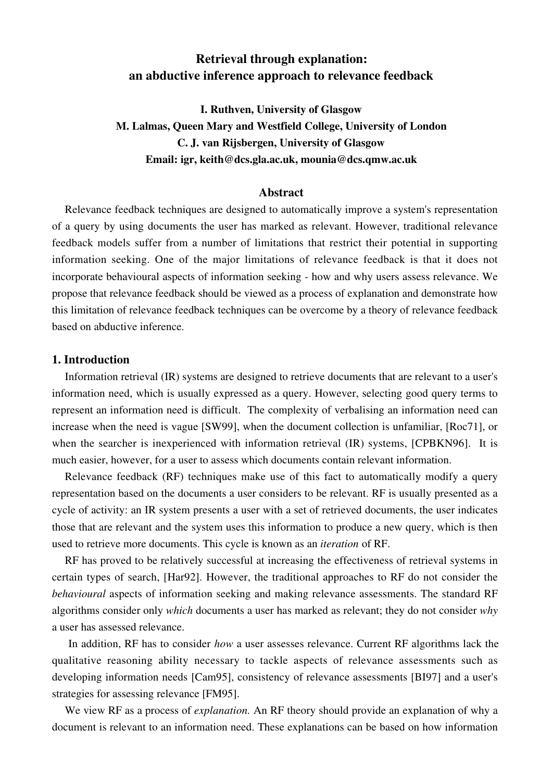# **Retrieval through explanation: an abductive inference approach to relevance feedback**

**I. Ruthven, University of Glasgow M. Lalmas, Queen Mary and Westfield College, University of London C. J. van Rijsbergen, University of Glasgow Email: igr, keith@dcs.gla.ac.uk, mounia@dcs.qmw.ac.uk**

# **Abstract**

Relevance feedback techniques are designed to automatically improve a system's representation of a query by using documents the user has marked as relevant. However, traditional relevance feedback models suffer from a number of limitations that restrict their potential in supporting information seeking. One of the major limitations of relevance feedback is that it does not incorporate behavioural aspects of information seeking - how and why users assess relevance. We propose that relevance feedback should be viewed as a process of explanation and demonstrate how this limitation of relevance feedback techniques can be overcome by a theory of relevance feedback based on abductive inference.

# **1. Introduction**

Information retrieval (IR) systems are designed to retrieve documents that are relevant to a user's information need, which is usually expressed as a query. However, selecting good query terms to represent an information need is difficult. The complexity of verbalising an information need can increase when the need is vague [SW99], when the document collection is unfamiliar, [Roc71], or when the searcher is inexperienced with information retrieval (IR) systems, [CPBKN96]. It is much easier, however, for a user to assess which documents contain relevant information.

Relevance feedback (RF) techniques make use of this fact to automatically modify a query representation based on the documents a user considers to be relevant. RF is usually presented as a cycle of activity: an IR system presents a user with a set of retrieved documents, the user indicates those that are relevant and the system uses this information to produce a new query, which is then used to retrieve more documents. This cycle is known as an *iteration* of RF.

RF has proved to be relatively successful at increasing the effectiveness of retrieval systems in certain types of search, [Har92]. However, the traditional approaches to RF do not consider the *behavioural* aspects of information seeking and making relevance assessments. The standard RF algorithms consider only *which* documents a user has marked as relevant; they do not consider *why* a user has assessed relevance.

 In addition, RF has to consider *how* a user assesses relevance. Current RF algorithms lack the qualitative reasoning ability necessary to tackle aspects of relevance assessments such as developing information needs [Cam95], consistency of relevance assessments [BI97] and a user's strategies for assessing relevance [FM95].

We view RF as a process of *explanation.* An RF theory should provide an explanation of why a document is relevant to an information need. These explanations can be based on how information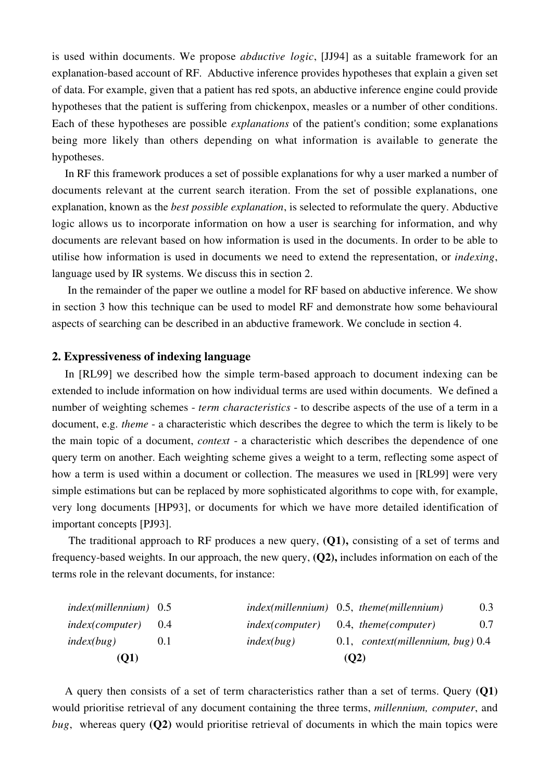is used within documents. We propose *abductive logic*, [JJ94] as a suitable framework for an explanation-based account of RF. Abductive inference provides hypotheses that explain a given set of data. For example, given that a patient has red spots, an abductive inference engine could provide hypotheses that the patient is suffering from chickenpox, measles or a number of other conditions. Each of these hypotheses are possible *explanations* of the patient's condition; some explanations being more likely than others depending on what information is available to generate the hypotheses.

In RF this framework produces a set of possible explanations for why a user marked a number of documents relevant at the current search iteration. From the set of possible explanations, one explanation, known as the *best possible explanation*, is selected to reformulate the query. Abductive logic allows us to incorporate information on how a user is searching for information, and why documents are relevant based on how information is used in the documents. In order to be able to utilise how information is used in documents we need to extend the representation, or *indexing*, language used by IR systems. We discuss this in section 2.

 In the remainder of the paper we outline a model for RF based on abductive inference. We show in section 3 how this technique can be used to model RF and demonstrate how some behavioural aspects of searching can be described in an abductive framework. We conclude in section 4.

## **2. Expressiveness of indexing language**

In [RL99] we described how the simple term-based approach to document indexing can be extended to include information on how individual terms are used within documents. We defined a number of weighting schemes - *term characteristics* - to describe aspects of the use of a term in a document, e.g. *theme* - a characteristic which describes the degree to which the term is likely to be the main topic of a document, *context* - a characteristic which describes the dependence of one query term on another. Each weighting scheme gives a weight to a term, reflecting some aspect of how a term is used within a document or collection. The measures we used in [RL99] were very simple estimations but can be replaced by more sophisticated algorithms to cope with, for example, very long documents [HP93], or documents for which we have more detailed identification of important concepts [PJ93].

 The traditional approach to RF produces a new query, **(Q1),** consisting of a set of terms and frequency-based weights. In our approach, the new query, **(Q2),** includes information on each of the terms role in the relevant documents, for instance:

| (O1)                   |       |                        | (O2)                                      |     |
|------------------------|-------|------------------------|-------------------------------------------|-----|
| index(bug)             | 0.1   | index(bug)             | $0.1,$ context(millennium, bug) $0.4$     |     |
| <i>index(computer)</i> | (0.4) | <i>index(computer)</i> | 0.4, theme(computer)                      | 0.7 |
| $index(millennim)$ 0.5 |       |                        | $index(millennim)$ 0.5, theme(millennium) | 0.3 |

A query then consists of a set of term characteristics rather than a set of terms. Query **(Q1)** would prioritise retrieval of any document containing the three terms, *millennium, computer*, and *bug*, whereas query **(Q2)** would prioritise retrieval of documents in which the main topics were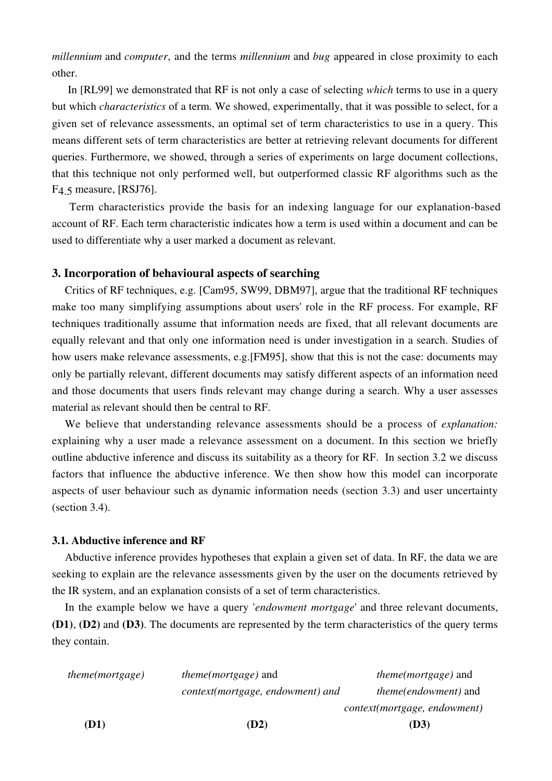*millennium* and *computer*, and the terms *millennium* and *bug* appeared in close proximity to each other.

 In [RL99] we demonstrated that RF is not only a case of selecting *which* terms to use in a query but which *characteristics* of a term. We showed, experimentally, that it was possible to select, for a given set of relevance assessments, an optimal set of term characteristics to use in a query. This means different sets of term characteristics are better at retrieving relevant documents for different queries. Furthermore, we showed, through a series of experiments on large document collections, that this technique not only performed well, but outperformed classic RF algorithms such as the F4.5 measure, [RSJ76].

 Term characteristics provide the basis for an indexing language for our explanation-based account of RF. Each term characteristic indicates how a term is used within a document and can be used to differentiate why a user marked a document as relevant.

## **3. Incorporation of behavioural aspects of searching**

Critics of RF techniques, e.g. [Cam95, SW99, DBM97], argue that the traditional RF techniques make too many simplifying assumptions about users' role in the RF process. For example, RF techniques traditionally assume that information needs are fixed, that all relevant documents are equally relevant and that only one information need is under investigation in a search. Studies of how users make relevance assessments, e.g.[FM95], show that this is not the case: documents may only be partially relevant, different documents may satisfy different aspects of an information need and those documents that users finds relevant may change during a search. Why a user assesses material as relevant should then be central to RF.

We believe that understanding relevance assessments should be a process of *explanation:* explaining why a user made a relevance assessment on a document. In this section we briefly outline abductive inference and discuss its suitability as a theory for RF. In section 3.2 we discuss factors that influence the abductive inference. We then show how this model can incorporate aspects of user behaviour such as dynamic information needs (section 3.3) and user uncertainty (section 3.4).

### **3.1. Abductive inference and RF**

Abductive inference provides hypotheses that explain a given set of data. In RF, the data we are seeking to explain are the relevance assessments given by the user on the documents retrieved by the IR system, and an explanation consists of a set of term characteristics.

In the example below we have a query '*endowment mortgage*' and three relevant documents, **(D1)**, **(D2)** and **(D3)**. The documents are represented by the term characteristics of the query terms they contain.

| (D1)                   | (D2)                             | (D3)                         |
|------------------------|----------------------------------|------------------------------|
|                        |                                  | context(mortgage, endowment) |
|                        | context(mortgage, endowment) and | <i>theme(endowment)</i> and  |
| <i>theme(mortgage)</i> | <i>theme(mortgage)</i> and       | <i>theme(mortgage)</i> and   |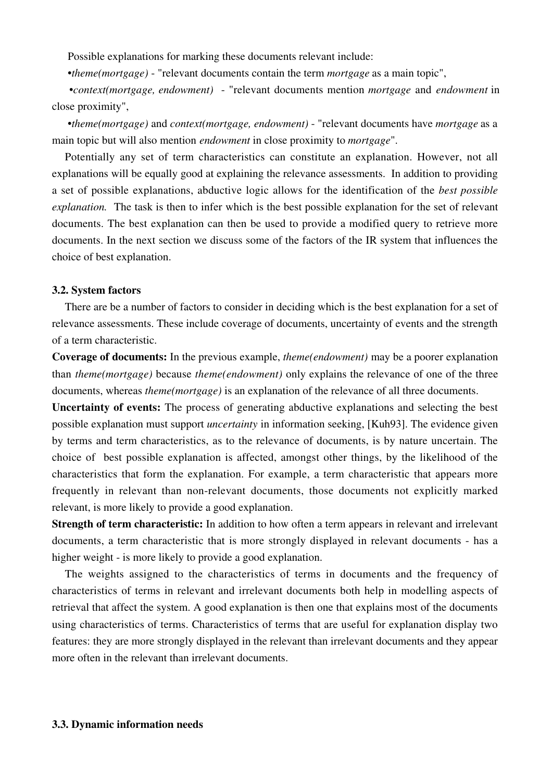Possible explanations for marking these documents relevant include:

•*theme(mortgage)* - "relevant documents contain the term *mortgage* as a main topic",

 •*context(mortgage, endowment)* - "relevant documents mention *mortgage* and *endowment* in close proximity",

 •*theme(mortgage)* and *context(mortgage, endowment)* - "relevant documents have *mortgage* as a main topic but will also mention *endowment* in close proximity to *mortgage*".

Potentially any set of term characteristics can constitute an explanation. However, not all explanations will be equally good at explaining the relevance assessments. In addition to providing a set of possible explanations, abductive logic allows for the identification of the *best possible explanation.* The task is then to infer which is the best possible explanation for the set of relevant documents. The best explanation can then be used to provide a modified query to retrieve more documents. In the next section we discuss some of the factors of the IR system that influences the choice of best explanation.

#### **3.2. System factors**

There are be a number of factors to consider in deciding which is the best explanation for a set of relevance assessments. These include coverage of documents, uncertainty of events and the strength of a term characteristic.

**Coverage of documents:** In the previous example, *theme(endowment)* may be a poorer explanation than *theme(mortgage)* because *theme(endowment)* only explains the relevance of one of the three documents, whereas *theme(mortgage)* is an explanation of the relevance of all three documents.

**Uncertainty of events:** The process of generating abductive explanations and selecting the best possible explanation must support *uncertainty* in information seeking, [Kuh93]. The evidence given by terms and term characteristics, as to the relevance of documents, is by nature uncertain. The choice of best possible explanation is affected, amongst other things, by the likelihood of the characteristics that form the explanation. For example, a term characteristic that appears more frequently in relevant than non-relevant documents, those documents not explicitly marked relevant, is more likely to provide a good explanation.

**Strength of term characteristic:** In addition to how often a term appears in relevant and irrelevant documents, a term characteristic that is more strongly displayed in relevant documents - has a higher weight - is more likely to provide a good explanation.

The weights assigned to the characteristics of terms in documents and the frequency of characteristics of terms in relevant and irrelevant documents both help in modelling aspects of retrieval that affect the system. A good explanation is then one that explains most of the documents using characteristics of terms. Characteristics of terms that are useful for explanation display two features: they are more strongly displayed in the relevant than irrelevant documents and they appear more often in the relevant than irrelevant documents.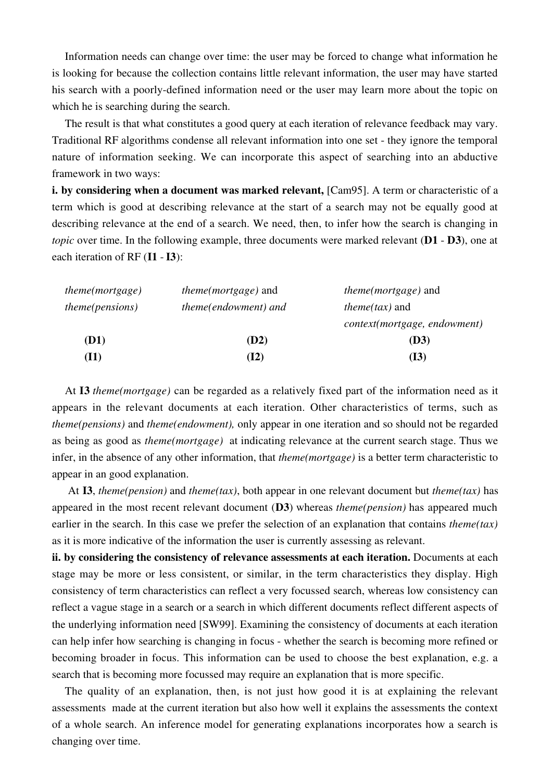Information needs can change over time: the user may be forced to change what information he is looking for because the collection contains little relevant information, the user may have started his search with a poorly-defined information need or the user may learn more about the topic on which he is searching during the search.

The result is that what constitutes a good query at each iteration of relevance feedback may vary. Traditional RF algorithms condense all relevant information into one set - they ignore the temporal nature of information seeking. We can incorporate this aspect of searching into an abductive framework in two ways:

**i. by considering when a document was marked relevant,** [Cam95]. A term or characteristic of a term which is good at describing relevance at the start of a search may not be equally good at describing relevance at the end of a search. We need, then, to infer how the search is changing in *topic* over time. In the following example, three documents were marked relevant (**D1** - **D3**), one at each iteration of RF (**I1** - **I3**):

| theme(mortgage)        | <i>theme(mortgage)</i> and  | <i>theme(mortgage)</i> and   |  |
|------------------------|-----------------------------|------------------------------|--|
| <i>theme(pensions)</i> | <i>theme(endowment)</i> and | <i>theme(tax)</i> and        |  |
|                        |                             | context(mortgage, endowment) |  |
| (D1)                   | (D2)                        | (D3)                         |  |
| (I1)                   | <b>(I2)</b>                 | (I3)                         |  |

At **I3** *theme(mortgage)* can be regarded as a relatively fixed part of the information need as it appears in the relevant documents at each iteration. Other characteristics of terms, such as *theme(pensions)* and *theme(endowment),* only appear in one iteration and so should not be regarded as being as good as *theme(mortgage)* at indicating relevance at the current search stage. Thus we infer, in the absence of any other information, that *theme(mortgage)* is a better term characteristic to appear in an good explanation.

 At **I3**, *theme(pension)* and *theme(tax)*, both appear in one relevant document but *theme(tax)* has appeared in the most recent relevant document (**D3**) whereas *theme(pension)* has appeared much earlier in the search. In this case we prefer the selection of an explanation that contains *theme(tax)* as it is more indicative of the information the user is currently assessing as relevant.

**ii. by considering the consistency of relevance assessments at each iteration.** Documents at each stage may be more or less consistent, or similar, in the term characteristics they display. High consistency of term characteristics can reflect a very focussed search, whereas low consistency can reflect a vague stage in a search or a search in which different documents reflect different aspects of the underlying information need [SW99]. Examining the consistency of documents at each iteration can help infer how searching is changing in focus - whether the search is becoming more refined or becoming broader in focus. This information can be used to choose the best explanation, e.g. a search that is becoming more focussed may require an explanation that is more specific.

The quality of an explanation, then, is not just how good it is at explaining the relevant assessments made at the current iteration but also how well it explains the assessments the context of a whole search. An inference model for generating explanations incorporates how a search is changing over time.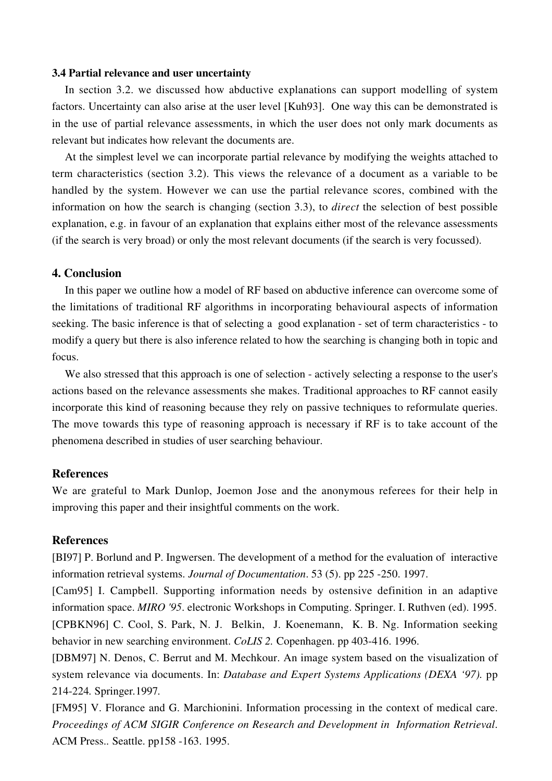### **3.4 Partial relevance and user uncertainty**

In section 3.2. we discussed how abductive explanations can support modelling of system factors. Uncertainty can also arise at the user level [Kuh93]. One way this can be demonstrated is in the use of partial relevance assessments, in which the user does not only mark documents as relevant but indicates how relevant the documents are.

At the simplest level we can incorporate partial relevance by modifying the weights attached to term characteristics (section 3.2). This views the relevance of a document as a variable to be handled by the system. However we can use the partial relevance scores, combined with the information on how the search is changing (section 3.3), to *direct* the selection of best possible explanation, e.g. in favour of an explanation that explains either most of the relevance assessments (if the search is very broad) or only the most relevant documents (if the search is very focussed).

# **4. Conclusion**

In this paper we outline how a model of RF based on abductive inference can overcome some of the limitations of traditional RF algorithms in incorporating behavioural aspects of information seeking. The basic inference is that of selecting a good explanation - set of term characteristics - to modify a query but there is also inference related to how the searching is changing both in topic and focus.

We also stressed that this approach is one of selection - actively selecting a response to the user's actions based on the relevance assessments she makes. Traditional approaches to RF cannot easily incorporate this kind of reasoning because they rely on passive techniques to reformulate queries. The move towards this type of reasoning approach is necessary if RF is to take account of the phenomena described in studies of user searching behaviour.

# **References**

We are grateful to Mark Dunlop, Joemon Jose and the anonymous referees for their help in improving this paper and their insightful comments on the work.

### **References**

[BI97] P. Borlund and P. Ingwersen. The development of a method for the evaluation of interactive information retrieval systems. *Journal of Documentation*. 53 (5). pp 225 -250. 1997.

[Cam95] I. Campbell. Supporting information needs by ostensive definition in an adaptive information space. *MIRO '95*. electronic Workshops in Computing. Springer. I. Ruthven (ed). 1995. [CPBKN96] C. Cool, S. Park, N. J. Belkin, J. Koenemann, K. B. Ng. Information seeking behavior in new searching environment. *CoLIS 2.* Copenhagen. pp 403-416. 1996.

[DBM97] N. Denos, C. Berrut and M. Mechkour. An image system based on the visualization of system relevance via documents. In: *Database and Expert Systems Applications (DEXA '97).* pp 214-224*.* Springer*.*1997*.*

[FM95] V. Florance and G. Marchionini. Information processing in the context of medical care. *Proceedings of ACM SIGIR Conference on Research and Development in Information Retrieval*. ACM Press.*.* Seattle. pp158 -163. 1995.